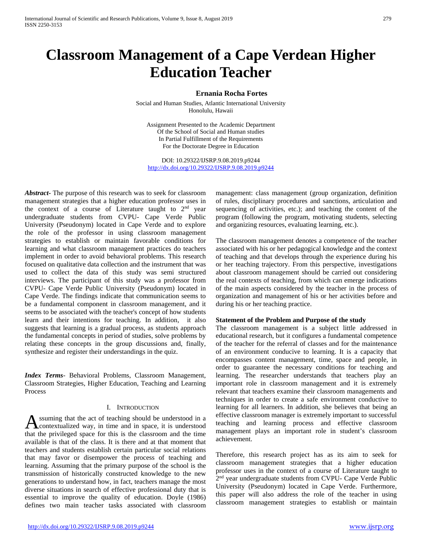# **Classroom Management of a Cape Verdean Higher Education Teacher**

# **Ernania Rocha Fortes**

Social and Human Studies, Atlantic International University Honolulu, Hawaii

Assignment Presented to the Academic Department Of the School of Social and Human studies In Partial Fulfillment of the Requirements For the Doctorate Degree in Education

DOI: 10.29322/IJSRP.9.08.2019.p9244 <http://dx.doi.org/10.29322/IJSRP.9.08.2019.p9244>

*Abstract***-** The purpose of this research was to seek for classroom management strategies that a higher education professor uses in the context of a course of Literature taught to 2nd year undergraduate students from CVPU- Cape Verde Public University (Pseudonym) located in Cape Verde and to explore the role of the professor in using classroom management strategies to establish or maintain favorable conditions for learning and what classroom management practices do teachers implement in order to avoid behavioral problems. This research focused on qualitative data collection and the instrument that was used to collect the data of this study was semi structured interviews. The participant of this study was a professor from CVPU- Cape Verde Public University (Pseudonym) located in Cape Verde. The findings indicate that communication seems to be a fundamental component in classroom management, and it seems to be associated with the teacher's concept of how students learn and their intentions for teaching. In addition, it also suggests that learning is a gradual process, as students approach the fundamental concepts in period of studies, solve problems by relating these concepts in the group discussions and, finally, synthesize and register their understandings in the quiz.

*Index Terms*- Behavioral Problems, Classroom Management, Classroom Strategies, Higher Education, Teaching and Learning Process

#### I. INTRODUCTION

ssuming that the act of teaching should be understood in a contextualized way, in time and in space, it is understood **A** ssuming that the act of teaching should be understood in a contextualized way, in time and in space, it is understood that the privileged space for this is the classroom and the time available is that of the class. It is there and at that moment that teachers and students establish certain particular social relations that may favor or disempower the process of teaching and learning. Assuming that the primary purpose of the school is the transmission of historically constructed knowledge to the new generations to understand how, in fact, teachers manage the most diverse situations in search of effective professional duty that is essential to improve the quality of education. Doyle (1986) defines two main teacher tasks associated with classroom

management: class management (group organization, definition of rules, disciplinary procedures and sanctions, articulation and sequencing of activities, etc.); and teaching the content of the program (following the program, motivating students, selecting and organizing resources, evaluating learning, etc.).

The classroom management denotes a competence of the teacher associated with his or her pedagogical knowledge and the context of teaching and that develops through the experience during his or her teaching trajectory. From this perspective, investigations about classroom management should be carried out considering the real contexts of teaching, from which can emerge indications of the main aspects considered by the teacher in the process of organization and management of his or her activities before and during his or her teaching practice.

#### **Statement of the Problem and Purpose of the study**

The classroom management is a subject little addressed in educational research, but it configures a fundamental competence of the teacher for the referral of classes and for the maintenance of an environment conducive to learning. It is a capacity that encompasses content management, time, space and people, in order to guarantee the necessary conditions for teaching and learning. The researcher understands that teachers play an important role in classroom management and it is extremely relevant that teachers examine their classroom managements and techniques in order to create a safe environment conductive to learning for all learners. In addition, she believes that being an effective classroom manager is extremely important to successful teaching and learning process and effective classroom management plays an important role in student's classroom achievement.

Therefore, this research project has as its aim to seek for classroom management strategies that a higher education professor uses in the context of a course of Literature taught to 2<sup>nd</sup> year undergraduate students from CVPU- Cape Verde Public University (Pseudonym) located in Cape Verde. Furthermore, this paper will also address the role of the teacher in using classroom management strategies to establish or maintain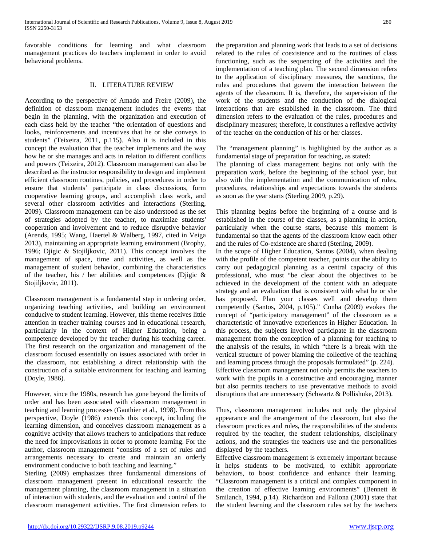favorable conditions for learning and what classroom management practices do teachers implement in order to avoid behavioral problems.

### II. LITERATURE REVIEW

According to the perspective of Amado and Freire (2009), the definition of classroom management includes the events that begin in the planning, with the organization and execution of each class held by the teacher "the orientation of questions and looks, reinforcements and incentives that he or she conveys to students" (Teixeira, 2011, p.115). Also it is included in this concept the evaluation that the teacher implements and the way how he or she manages and acts in relation to different conflicts and powers (Teixeira, 2012). Classroom management can also be described as the instructor responsibility to design and implement efficient classroom routines, policies, and procedures in order to ensure that students' participate in class discussions, form cooperative learning groups, and accomplish class work, and several other classroom activities and interactions (Sterling, 2009). Classroom management can be also understood as the set of strategies adopted by the teacher, to maximize students' cooperation and involvement and to reduce disruptive behavior (Arends, 1995; Wang, Haertel & Walberg, 1997, cited in Veiga 2013), maintaining an appropriate learning environment (Brophy, 1996; Djigic & Stojiljkovic, 2011). This concept involves the management of space, time and activities, as well as the management of student behavior, combining the characteristics of the teacher, his / her abilities and competences (Diigic  $\&$ Stojiljkovic, 2011).

Classroom management is a fundamental step in ordering order, organizing teaching activities, and building an environment conducive to student learning. However, this theme receives little attention in teacher training courses and in educational research, particularly in the context of Higher Education, being a competence developed by the teacher during his teaching career. The first research on the organization and management of the classroom focused essentially on issues associated with order in the classroom, not establishing a direct relationship with the construction of a suitable environment for teaching and learning (Doyle, 1986).

However, since the 1980s, research has gone beyond the limits of order and has been associated with classroom management in teaching and learning processes (Gauthier et al., 1998). From this perspective, Doyle (1986) extends this concept, including the learning dimension, and conceives classroom management as a cognitive activity that allows teachers to anticipations that reduce the need for improvisations in order to promote learning. For the author, classroom management "consists of a set of rules and arrangements necessary to create and maintain an orderly environment conducive to both teaching and learning."

Sterling (2009) emphasizes three fundamental dimensions of classroom management present in educational research: the management planning, the classroom management in a situation of interaction with students, and the evaluation and control of the classroom management activities. The first dimension refers to the preparation and planning work that leads to a set of decisions related to the rules of coexistence and to the routines of class functioning, such as the sequencing of the activities and the implementation of a teaching plan. The second dimension refers to the application of disciplinary measures, the sanctions, the rules and procedures that govern the interaction between the agents of the classroom. It is, therefore, the supervision of the work of the students and the conduction of the dialogical interactions that are established in the classroom. The third dimension refers to the evaluation of the rules, procedures and disciplinary measures; therefore, it constitutes a reflexive activity of the teacher on the conduction of his or her classes.

The "management planning" is highlighted by the author as a fundamental stage of preparation for teaching, as stated:

The planning of class management begins not only with the preparation work, before the beginning of the school year, but also with the implementation and the communication of rules, procedures, relationships and expectations towards the students as soon as the year starts (Sterling 2009, p.29).

This planning begins before the beginning of a course and is established in the course of the classes, as a planning in action, particularly when the course starts, because this moment is fundamental so that the agents of the classroom know each other and the rules of Co-existence are shared (Sterling, 2009).

In the scope of Higher Education, Santos (2004), when dealing with the profile of the competent teacher, points out the ability to carry out pedagogical planning as a central capacity of this professional, who must "be clear about the objectives to be achieved in the development of the content with an adequate strategy and an evaluation that is consistent with what he or she has proposed. Plan your classes well and develop them competently (Santos, 2004, p.105)." Cunha (2009) evokes the concept of "participatory management" of the classroom as a characteristic of innovative experiences in Higher Education. In this process, the subjects involved participate in the classroom management from the conception of a planning for teaching to the analysis of the results, in which "there is a break with the vertical structure of power blaming the collective of the teaching and learning process through the proposals formulated" (p. 224). Effective classroom management not only permits the teachers to work with the pupils in a constructive and encouraging manner but also permits teachers to use preventative methods to avoid disruptions that are unnecessary (Schwartz & Pollishuke, 2013).

Thus, classroom management includes not only the physical appearance and the arrangement of the classroom, but also the classroom practices and rules, the responsibilities of the students required by the teacher, the student relationships, disciplinary actions, and the strategies the teachers use and the personalities displayed by the teachers.

Effective classroom management is extremely important because it helps students to be motivated, to exhibit appropriate behaviors, to boost confidence and enhance their learning. "Classroom management is a critical and complex component in the creation of effective learning environments" (Bennett & Smilanch, 1994, p.14). Richardson and Fallona (2001) state that the student learning and the classroom rules set by the teachers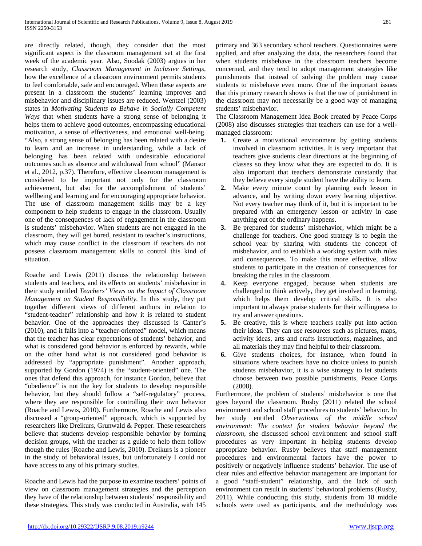are directly related, though, they consider that the most significant aspect is the classroom management set at the first week of the academic year. Also, Soodak (2003) argues in her research study, *Classroom Management in Inclusive Settings,*  how the excellence of a classroom environment permits students to feel comfortable, safe and encouraged. When these aspects are present in a classroom the students' learning improves and misbehavior and disciplinary issues are reduced. Wentzel (2003) states in *Motivating Students to Behave in Socially Competent Ways* that when students have a strong sense of belonging it helps them to achieve good outcomes, encompassing educational motivation, a sense of effectiveness, and emotional well-being. "Also, a strong sense of belonging has been related with a desire to learn and an increase in understanding, while a lack of belonging has been related with undesirable educational outcomes such as absence and withdrawal from school" (Mansor et al., 2012, p.37). Therefore, effective classroom management is considered to be important not only for the classroom achievement, but also for the accomplishment of students' wellbeing and learning and for encouraging appropriate behavior. The use of classroom management skills may be a key component to help students to engage in the classroom. Usually one of the consequences of lack of engagement in the classroom is students' misbehavior. When students are not engaged in the classroom, they will get bored, resistant to teacher's instructions, which may cause conflict in the classroom if teachers do not possess classroom management skills to control this kind of situation.

Roache and Lewis (2011) discuss the relationship between students and teachers, and its effects on students' misbehavior in their study entitled *Teachers' Views on the Impact of Classroom Management on Student Responsibility.* In this study, they put together different views of different authors in relation to "student-teacher" relationship and how it is related to student behavior. One of the approaches they discussed is Canter's (2010), and it falls into a "teacher-oriented" model, which means that the teacher has clear expectations of students' behavior, and what is considered good behavior is enforced by rewards, while on the other hand what is not considered good behavior is addressed by "appropriate punishment". Another approach, supported by Gordon (1974) is the "student-oriented" one. The ones that defend this approach, for instance Gordon, believe that "obedience" is not the key for students to develop responsible behavior, but they should follow a "self-regulatory" process, where they are responsible for controlling their own behavior (Roache and Lewis, 2010). Furthermore, Roache and Lewis also discussed a "group-oriented" approach, which is supported by researchers like Dreikurs, Grunwald & Pepper. These researchers believe that students develop responsible behavior by forming decision groups, with the teacher as a guide to help them follow though the rules (Roache and Lewis, 2010). Dreikurs is a pioneer in the study of behavioral issues, but unfortunately I could not have access to any of his primary studies.

Roache and Lewis had the purpose to examine teachers' points of view on classroom management strategies and the perception they have of the relationship between students' responsibility and these strategies. This study was conducted in Australia, with 145 primary and 363 secondary school teachers. Questionnaires were applied, and after analyzing the data, the researchers found that when students misbehave in the classroom teachers become concerned, and they tend to adopt management strategies like punishments that instead of solving the problem may cause students to misbehave even more. One of the important issues that this primary research shows is that the use of punishment in the classroom may not necessarily be a good way of managing students' misbehavior.

The Classroom Management Idea Book created by Peace Corps (2008) also discusses strategies that teachers can use for a wellmanaged classroom:

- **1.** Create a motivational environment by getting students involved in classroom activities. It is very important that teachers give students clear directions at the beginning of classes so they know what they are expected to do. It is also important that teachers demonstrate constantly that they believe every single student have the ability to learn.
- **2.** Make every minute count by planning each lesson in advance, and by writing down every learning objective. Not every teacher may think of it, but it is important to be prepared with an emergency lesson or activity in case anything out of the ordinary happens.
- **3.** Be prepared for students' misbehavior, which might be a challenge for teachers. One good strategy is to begin the school year by sharing with students the concept of misbehavior, and to establish a working system with rules and consequences. To make this more effective, allow students to participate in the creation of consequences for breaking the rules in the classroom.
- **4.** Keep everyone engaged, because when students are challenged to think actively, they get involved in learning, which helps them develop critical skills. It is also important to always praise students for their willingness to try and answer questions.
- **5.** Be creative, this is where teachers really put into action their ideas. They can use resources such as pictures, maps, activity ideas, arts and crafts instructions, magazines, and all materials they may find helpful to their classroom.
- **6.** Give students choices, for instance, when found in situations where teachers have no choice unless to punish students misbehavior, it is a wise strategy to let students choose between two possible punishments, Peace Corps (2008).

Furthermore, the problem of students' misbehavior is one that goes beyond the classroom. Rusby (2011) related the school environment and school staff procedures to students' behavior. In her study entitled *Observations of the middle school environment: The context for student behavior beyond the classroom*, she discussed school environment and school staff procedures as very important in helping students develop appropriate behavior. Rusby believes that staff management procedures and environmental factors have the power to positively or negatively influence students' behavior. The use of clear rules and effective behavior management are important for a good "staff-student" relationship, and the lack of such environment can result in students' behavioral problems (Rusby, 2011). While conducting this study, students from 18 middle schools were used as participants, and the methodology was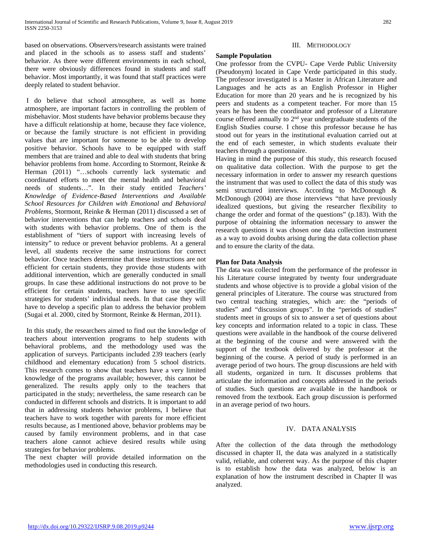based on observations. Observers/research assistants were trained and placed in the schools as to assess staff and students' behavior. As there were different environments in each school, there were obviously differences found in students and staff behavior. Most importantly, it was found that staff practices were deeply related to student behavior.

I do believe that school atmosphere, as well as home atmosphere, are important factors in controlling the problem of misbehavior. Most students have behavior problems because they have a difficult relationship at home, because they face violence, or because the family structure is not efficient in providing values that are important for someone to be able to develop positive behavior. Schools have to be equipped with staff members that are trained and able to deal with students that bring behavior problems from home. According to Stormont, Reinke & Herman (2011) "...schools currently lack systematic and coordinated efforts to meet the mental health and behavioral needs of students…". In their study entitled *Teachers' Knowledge of Evidence-Based Interventions and Available School Resources for Children with Emotional and Behavioral Problems,* Stormont, Reinke & Herman (2011) discussed a set of behavior interventions that can help teachers and schools deal with students with behavior problems. One of them is the establishment of "tiers of support with increasing levels of intensity" to reduce or prevent behavior problems. At a general level, all students receive the same instructions for correct behavior. Once teachers determine that these instructions are not efficient for certain students, they provide those students with additional intervention, which are generally conducted in small groups. In case these additional instructions do not prove to be efficient for certain students, teachers have to use specific strategies for students' individual needs. In that case they will have to develop a specific plan to address the behavior problem (Sugai et al. 2000, cited by Stormont, Reinke & Herman, 2011).

In this study, the researchers aimed to find out the knowledge of teachers about intervention programs to help students with behavioral problems, and the methodology used was the application of surveys. Participants included 239 teachers (early childhood and elementary education) from 5 school districts. This research comes to show that teachers have a very limited knowledge of the programs available; however, this cannot be generalized. The results apply only to the teachers that participated in the study; nevertheless, the same research can be conducted in different schools and districts. It is important to add that in addressing students behavior problems, I believe that teachers have to work together with parents for more efficient results because, as I mentioned above, behavior problems may be caused by family environment problems, and in that case teachers alone cannot achieve desired results while using strategies for behavior problems.

The next chapter will provide detailed information on the methodologies used in conducting this research.

## III. METHODOLOGY

#### **Sample Population**

One professor from the CVPU- Cape Verde Public University (Pseudonym) located in Cape Verde participated in this study. The professor investigated is a Master in African Literature and Languages and he acts as an English Professor in Higher Education for more than 20 years and he is recognized by his peers and students as a competent teacher. For more than 15 years he has been the coordinator and professor of a Literature course offered annually to 2nd year undergraduate students of the English Studies course. I chose this professor because he has stood out for years in the institutional evaluation carried out at the end of each semester, in which students evaluate their teachers through a questionnaire.

Having in mind the purpose of this study, this research focused on qualitative data collection. With the purpose to get the necessary information in order to answer my research questions the instrument that was used to collect the data of this study was semi structured interviews. According to McDonough & McDonough (2004) are those interviews "that have previously idealized questions, but giving the researcher flexibility to change the order and format of the questions" (p.183). With the purpose of obtaining the information necessary to answer the research questions it was chosen one data collection instrument as a way to avoid doubts arising during the data collection phase and to ensure the clarity of the data.

### **Plan for Data Analysis**

The data was collected from the performance of the professor in his Literature course integrated by twenty four undergraduate students and whose objective is to provide a global vision of the general principles of Literature. The course was structured from two central teaching strategies, which are: the "periods of studies" and "discussion groups". In the "periods of studies" students meet in groups of six to answer a set of questions about key concepts and information related to a topic in class. These questions were available in the handbook of the course delivered at the beginning of the course and were answered with the support of the textbook delivered by the professor at the beginning of the course. A period of study is performed in an average period of two hours. The group discussions are held with all students, organized in turn. It discusses problems that articulate the information and concepts addressed in the periods of studies. Such questions are available in the handbook or removed from the textbook. Each group discussion is performed in an average period of two hours.

# IV. DATA ANALYSIS

After the collection of the data through the methodology discussed in chapter II, the data was analyzed in a statistically valid, reliable, and coherent way. As the purpose of this chapter is to establish how the data was analyzed, below is an explanation of how the instrument described in Chapter II was analyzed.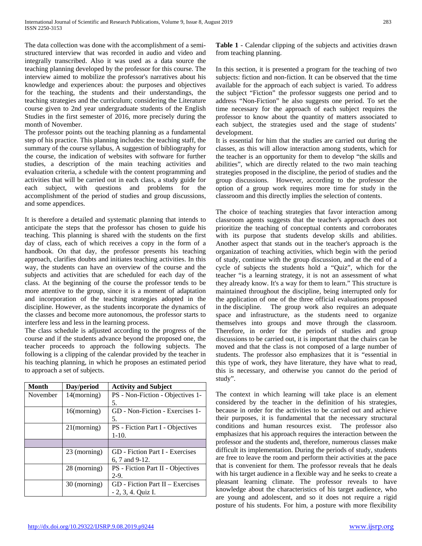The data collection was done with the accomplishment of a semistructured interview that was recorded in audio and video and integrally transcribed. Also it was used as a data source the teaching planning developed by the professor for this course. The interview aimed to mobilize the professor's narratives about his knowledge and experiences about: the purposes and objectives for the teaching, the students and their understandings, the teaching strategies and the curriculum; considering the Literature course given to 2nd year undergraduate students of the English Studies in the first semester of 2016, more precisely during the month of November.

The professor points out the teaching planning as a fundamental step of his practice. This planning includes: the teaching staff, the summary of the course syllabus, A suggestion of bibliography for the course, the indication of websites with software for further studies, a description of the main teaching activities and evaluation criteria, a schedule with the content programming and activities that will be carried out in each class, a study guide for each subject, with questions and problems for the accomplishment of the period of studies and group discussions, and some appendices.

It is therefore a detailed and systematic planning that intends to anticipate the steps that the professor has chosen to guide his teaching. This planning is shared with the students on the first day of class, each of which receives a copy in the form of a handbook. On that day, the professor presents his teaching approach, clarifies doubts and initiates teaching activities. In this way, the students can have an overview of the course and the subjects and activities that are scheduled for each day of the class. At the beginning of the course the professor tends to be more attentive to the group, since it is a moment of adaptation and incorporation of the teaching strategies adopted in the discipline. However, as the students incorporate the dynamics of the classes and become more autonomous, the professor starts to interfere less and less in the learning process.

The class schedule is adjusted according to the progress of the course and if the students advance beyond the proposed one, the teacher proceeds to approach the following subjects. The following is a clipping of the calendar provided by the teacher in his teaching planning, in which he proposes an estimated period to approach a set of subjects.

| Month    | Day/period     | <b>Activity and Subject</b>             |
|----------|----------------|-----------------------------------------|
| November | 14(morning)    | PS - Non-Fiction - Objectives 1-        |
|          |                | 5.                                      |
|          | 16(morming)    | GD - Non-Fiction - Exercises 1-         |
|          |                | 5.                                      |
|          | $21$ (morning) | <b>PS</b> - Fiction Part I - Objectives |
|          |                | $1-10.$                                 |
|          |                |                                         |
|          | 23 (morning)   | <b>GD</b> - Fiction Part I - Exercises  |
|          |                | 6, 7 and 9-12.                          |
|          | 28 (morning)   | PS - Fiction Part II - Objectives       |
|          |                | $2-9.$                                  |
|          | 30 (morning)   | $GD$ - Fiction Part II – Exercises      |
|          |                | $-2, 3, 4$ . Quiz I.                    |

**Table 1** - Calendar clipping of the subjects and activities drawn from teaching planning.

In this section, it is presented a program for the teaching of two subjects: fiction and non-fiction. It can be observed that the time available for the approach of each subject is varied. To address the subject "Fiction" the professor suggests one period and to address "Non-Fiction" he also suggests one period. To set the time necessary for the approach of each subject requires the professor to know about the quantity of matters associated to each subject, the strategies used and the stage of students' development.

It is essential for him that the studies are carried out during the classes, as this will allow interaction among students, which for the teacher is an opportunity for them to develop "the skills and abilities", which are directly related to the two main teaching strategies proposed in the discipline, the period of studies and the group discussions. However, according to the professor the option of a group work requires more time for study in the classroom and this directly implies the selection of contents.

The choice of teaching strategies that favor interaction among classroom agents suggests that the teacher's approach does not prioritize the teaching of conceptual contents and corroborates with its purpose that students develop skills and abilities. Another aspect that stands out in the teacher's approach is the organization of teaching activities, which begin with the period of study, continue with the group discussion, and at the end of a cycle of subjects the students hold a "Quiz", which for the teacher "is a learning strategy, it is not an assessment of what they already know. It's a way for them to learn." This structure is maintained throughout the discipline, being interrupted only for the application of one of the three official evaluations proposed in the discipline. The group work also requires an adequate space and infrastructure, as the students need to organize themselves into groups and move through the classroom. Therefore, in order for the periods of studies and group discussions to be carried out, it is important that the chairs can be moved and that the class is not composed of a large number of students. The professor also emphasizes that it is "essential in this type of work, they have literature, they have what to read, this is necessary, and otherwise you cannot do the period of study".

The context in which learning will take place is an element considered by the teacher in the definition of his strategies, because in order for the activities to be carried out and achieve their purposes, it is fundamental that the necessary structural conditions and human resources exist. The professor also emphasizes that his approach requires the interaction between the professor and the students and, therefore, numerous classes make difficult its implementation. During the periods of study, students are free to leave the room and perform their activities at the pace that is convenient for them. The professor reveals that he deals with his target audience in a flexible way and he seeks to create a pleasant learning climate. The professor reveals to have knowledge about the characteristics of his target audience, who are young and adolescent, and so it does not require a rigid posture of his students. For him, a posture with more flexibility